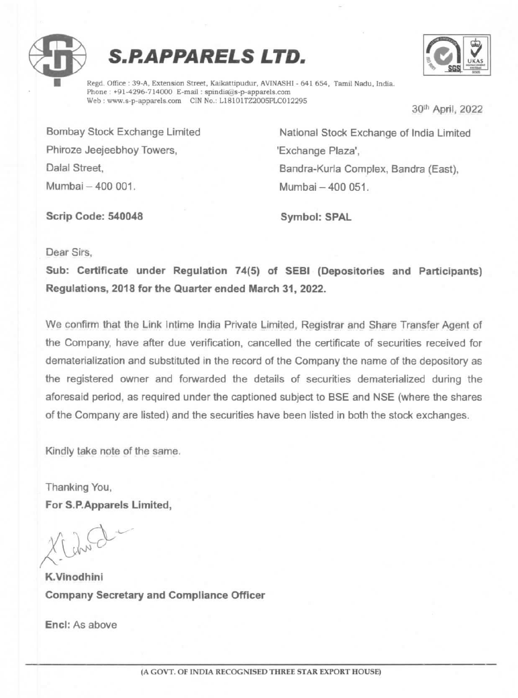





Regd. Office : 39-A, Extension Street, Kaikattipudur, AVINASHI - 641 654, Tamil Nadu, India. Phone : +91-4296-714000 E-mail : spindia@s-p-apparels.com Web: www.s-p-apparels.com CIN No.: L18101TZ2005PLC012295 30<sup>th</sup> April, 2022

Phiroze Jeejeebhoy Towers, The Microsoft Research Plaza', Mumbai - 400 001. Mumbai - 400 051.

Bombay Stock Exchange Limited National Stock Exchange of India Limited Dalal Street, **Bandra-Kurla Complex, Bandra (East)**,

Scrip Code: 540048 Symbol: SPAL

Dear Sirs,

Sub: Certificate under Regulation 74(5) of SEBI (Depositories and Participants) Requlations, 2018 for the Quarter ended March 31, 2022.

We confirm that the Link Intime India Private Limited, Registrar and Share Transfer Agent of the Company, have after due verification, cancelled the certificate of securities received for dematerialization and substituted in the record of the Company the name of the depository as the registered owner and forwarded the details of securities dematerialized during the aforesaid period, as required under the captioned subject to BSE and NSE (where the shares of the Company are listed) and the securities have been listed in both the stock exchanges.

Kindly take note of the same.

Thanking You, For S.P.Apparels Limited,

K.Vinodhini Company Secretary and Compliance Officer

Encl: As above